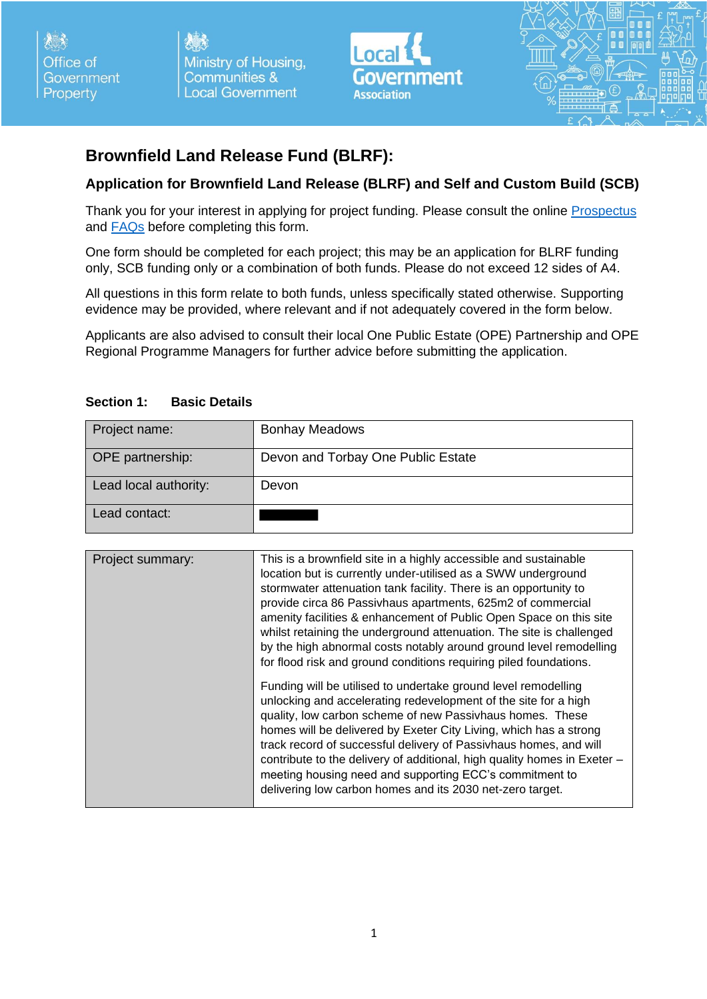Office of Government Property

Ministry of Housing, **Communities & Local Government** 



# **Brownfield Land Release Fund (BLRF):**

#### **Application for Brownfield Land Release (BLRF) and Self and Custom Build (SCB)**

Thank you for your interest in applying for project funding. Please consult the online [Prospectus](https://www.local.gov.uk/ope-brownfield-land-release-fund) and [FAQs](https://www.local.gov.uk/ope-brownfield-land-release-fund) before completing this form.

One form should be completed for each project; this may be an application for BLRF funding only, SCB funding only or a combination of both funds. Please do not exceed 12 sides of A4.

All questions in this form relate to both funds, unless specifically stated otherwise. Supporting evidence may be provided, where relevant and if not adequately covered in the form below.

Applicants are also advised to consult their local One Public Estate (OPE) Partnership and OPE Regional Programme Managers for further advice before submitting the application.

| Project name:           | <b>Bonhay Meadows</b>              |
|-------------------------|------------------------------------|
| <b>OPE</b> partnership: | Devon and Torbay One Public Estate |
| Lead local authority:   | Devon                              |
| Lead contact:           |                                    |

#### **Section 1: Basic Details**

| Project summary: | This is a brownfield site in a highly accessible and sustainable<br>location but is currently under-utilised as a SWW underground<br>stormwater attenuation tank facility. There is an opportunity to<br>provide circa 86 Passivhaus apartments, 625m2 of commercial<br>amenity facilities & enhancement of Public Open Space on this site<br>whilst retaining the underground attenuation. The site is challenged<br>by the high abnormal costs notably around ground level remodelling<br>for flood risk and ground conditions requiring piled foundations.<br>Funding will be utilised to undertake ground level remodelling |
|------------------|---------------------------------------------------------------------------------------------------------------------------------------------------------------------------------------------------------------------------------------------------------------------------------------------------------------------------------------------------------------------------------------------------------------------------------------------------------------------------------------------------------------------------------------------------------------------------------------------------------------------------------|
|                  | unlocking and accelerating redevelopment of the site for a high<br>quality, low carbon scheme of new Passivhaus homes. These<br>homes will be delivered by Exeter City Living, which has a strong<br>track record of successful delivery of Passivhaus homes, and will<br>contribute to the delivery of additional, high quality homes in Exeter -<br>meeting housing need and supporting ECC's commitment to<br>delivering low carbon homes and its 2030 net-zero target.                                                                                                                                                      |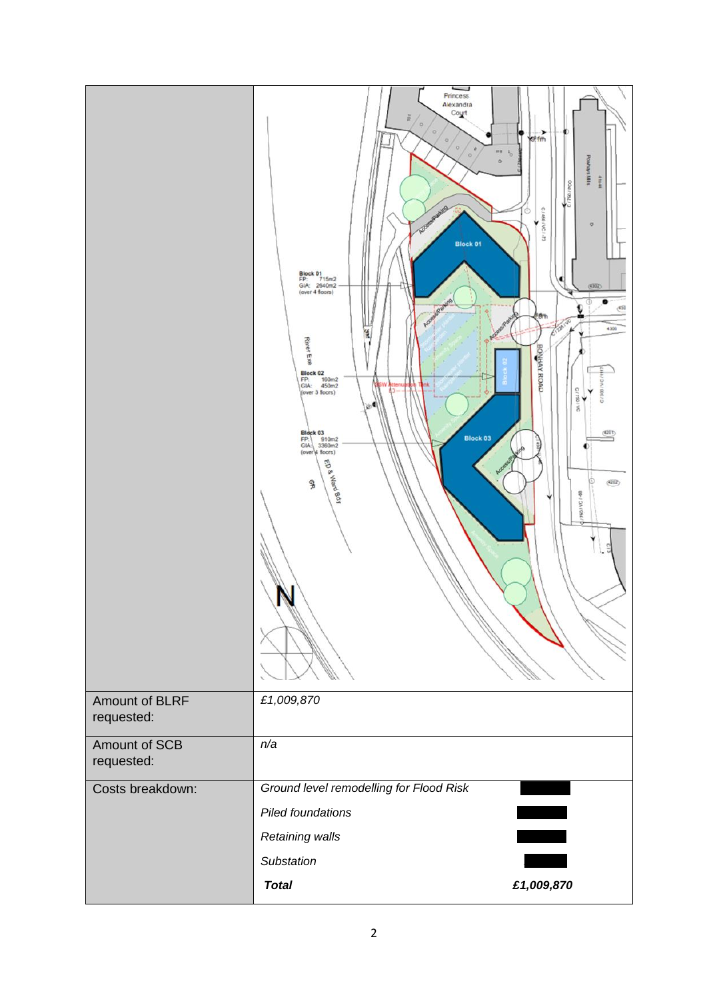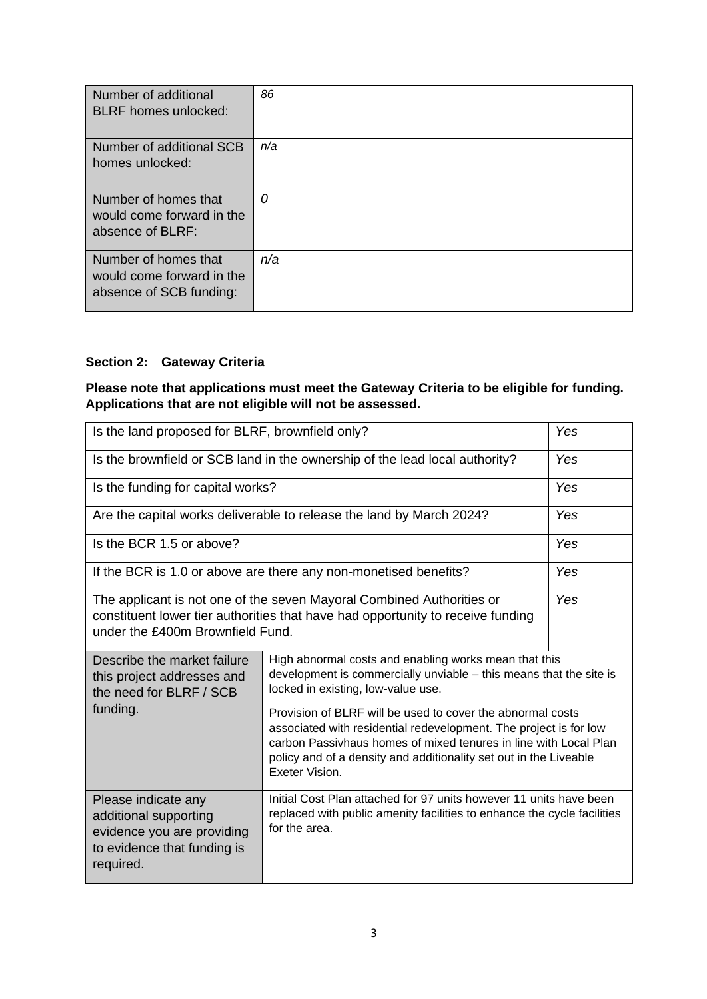| Number of additional<br><b>BLRF</b> homes unlocked:                          | 86  |
|------------------------------------------------------------------------------|-----|
| Number of additional SCB<br>homes unlocked:                                  | n/a |
| Number of homes that<br>would come forward in the<br>absence of BLRF:        | 0   |
| Number of homes that<br>would come forward in the<br>absence of SCB funding: | n/a |

### **Section 2: Gateway Criteria**

#### **Please note that applications must meet the Gateway Criteria to be eligible for funding. Applications that are not eligible will not be assessed.**

| Is the land proposed for BLRF, brownfield only?                                                                                                                                                                                                                                          |                                                                                                                                                                                                                                                                                                                                                                                                                                                                 | Yes |
|------------------------------------------------------------------------------------------------------------------------------------------------------------------------------------------------------------------------------------------------------------------------------------------|-----------------------------------------------------------------------------------------------------------------------------------------------------------------------------------------------------------------------------------------------------------------------------------------------------------------------------------------------------------------------------------------------------------------------------------------------------------------|-----|
| Is the brownfield or SCB land in the ownership of the lead local authority?                                                                                                                                                                                                              |                                                                                                                                                                                                                                                                                                                                                                                                                                                                 | Yes |
| Is the funding for capital works?                                                                                                                                                                                                                                                        |                                                                                                                                                                                                                                                                                                                                                                                                                                                                 | Yes |
| Are the capital works deliverable to release the land by March 2024?                                                                                                                                                                                                                     |                                                                                                                                                                                                                                                                                                                                                                                                                                                                 | Yes |
| Is the BCR 1.5 or above?                                                                                                                                                                                                                                                                 |                                                                                                                                                                                                                                                                                                                                                                                                                                                                 | Yes |
| If the BCR is 1.0 or above are there any non-monetised benefits?                                                                                                                                                                                                                         |                                                                                                                                                                                                                                                                                                                                                                                                                                                                 | Yes |
| Yes<br>The applicant is not one of the seven Mayoral Combined Authorities or<br>constituent lower tier authorities that have had opportunity to receive funding<br>under the £400m Brownfield Fund.                                                                                      |                                                                                                                                                                                                                                                                                                                                                                                                                                                                 |     |
| Describe the market failure<br>this project addresses and<br>the need for BLRF / SCB<br>funding.                                                                                                                                                                                         | High abnormal costs and enabling works mean that this<br>development is commercially unviable - this means that the site is<br>locked in existing, low-value use.<br>Provision of BLRF will be used to cover the abnormal costs<br>associated with residential redevelopment. The project is for low<br>carbon Passivhaus homes of mixed tenures in line with Local Plan<br>policy and of a density and additionality set out in the Liveable<br>Exeter Vision. |     |
| Initial Cost Plan attached for 97 units however 11 units have been<br>Please indicate any<br>replaced with public amenity facilities to enhance the cycle facilities<br>additional supporting<br>for the area.<br>evidence you are providing<br>to evidence that funding is<br>required. |                                                                                                                                                                                                                                                                                                                                                                                                                                                                 |     |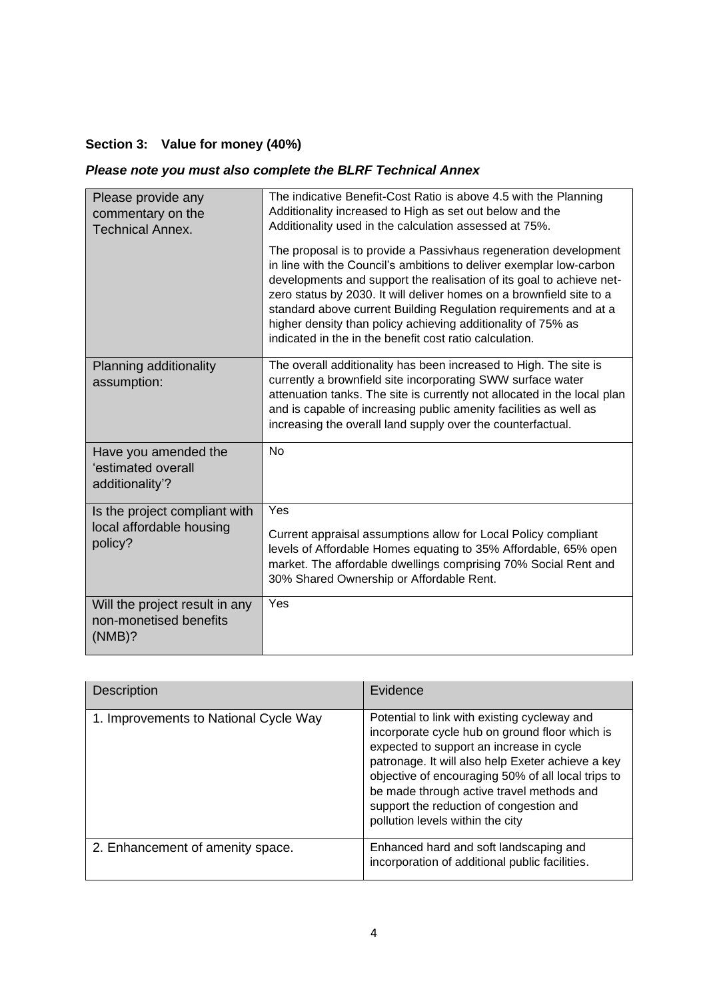# **Section 3: Value for money (40%)**

# *Please note you must also complete the BLRF Technical Annex*

| Please provide any<br>commentary on the<br><b>Technical Annex.</b> | The indicative Benefit-Cost Ratio is above 4.5 with the Planning<br>Additionality increased to High as set out below and the<br>Additionality used in the calculation assessed at 75%.                                                                                                                                                                                                                                                                                                 |
|--------------------------------------------------------------------|----------------------------------------------------------------------------------------------------------------------------------------------------------------------------------------------------------------------------------------------------------------------------------------------------------------------------------------------------------------------------------------------------------------------------------------------------------------------------------------|
|                                                                    | The proposal is to provide a Passivhaus regeneration development<br>in line with the Council's ambitions to deliver exemplar low-carbon<br>developments and support the realisation of its goal to achieve net-<br>zero status by 2030. It will deliver homes on a brownfield site to a<br>standard above current Building Regulation requirements and at a<br>higher density than policy achieving additionality of 75% as<br>indicated in the in the benefit cost ratio calculation. |
| Planning additionality<br>assumption:                              | The overall additionality has been increased to High. The site is<br>currently a brownfield site incorporating SWW surface water<br>attenuation tanks. The site is currently not allocated in the local plan<br>and is capable of increasing public amenity facilities as well as<br>increasing the overall land supply over the counterfactual.                                                                                                                                       |
| Have you amended the<br>'estimated overall<br>additionality'?      | <b>No</b>                                                                                                                                                                                                                                                                                                                                                                                                                                                                              |
| Is the project compliant with<br>local affordable housing          | Yes                                                                                                                                                                                                                                                                                                                                                                                                                                                                                    |
| policy?                                                            | Current appraisal assumptions allow for Local Policy compliant<br>levels of Affordable Homes equating to 35% Affordable, 65% open<br>market. The affordable dwellings comprising 70% Social Rent and<br>30% Shared Ownership or Affordable Rent.                                                                                                                                                                                                                                       |
| Will the project result in any<br>non-monetised benefits<br>(NMB)? | Yes                                                                                                                                                                                                                                                                                                                                                                                                                                                                                    |

| <b>Description</b>                    | Evidence                                                                                                                                                                                                                                                                                                                                                                          |
|---------------------------------------|-----------------------------------------------------------------------------------------------------------------------------------------------------------------------------------------------------------------------------------------------------------------------------------------------------------------------------------------------------------------------------------|
| 1. Improvements to National Cycle Way | Potential to link with existing cycleway and<br>incorporate cycle hub on ground floor which is<br>expected to support an increase in cycle<br>patronage. It will also help Exeter achieve a key<br>objective of encouraging 50% of all local trips to<br>be made through active travel methods and<br>support the reduction of congestion and<br>pollution levels within the city |
| 2. Enhancement of amenity space.      | Enhanced hard and soft landscaping and<br>incorporation of additional public facilities.                                                                                                                                                                                                                                                                                          |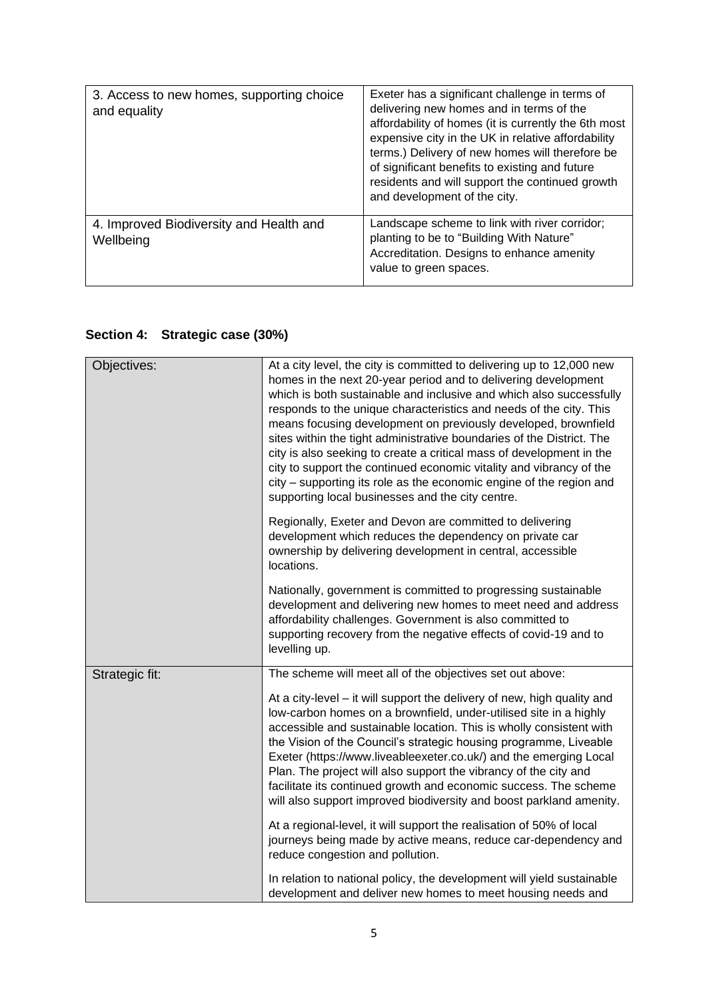| 3. Access to new homes, supporting choice<br>and equality | Exeter has a significant challenge in terms of<br>delivering new homes and in terms of the<br>affordability of homes (it is currently the 6th most<br>expensive city in the UK in relative affordability<br>terms.) Delivery of new homes will therefore be<br>of significant benefits to existing and future<br>residents and will support the continued growth<br>and development of the city. |
|-----------------------------------------------------------|--------------------------------------------------------------------------------------------------------------------------------------------------------------------------------------------------------------------------------------------------------------------------------------------------------------------------------------------------------------------------------------------------|
| 4. Improved Biodiversity and Health and<br>Wellbeing      | Landscape scheme to link with river corridor;<br>planting to be to "Building With Nature"<br>Accreditation. Designs to enhance amenity<br>value to green spaces.                                                                                                                                                                                                                                 |

# **Section 4: Strategic case (30%)**

| Objectives:    | At a city level, the city is committed to delivering up to 12,000 new<br>homes in the next 20-year period and to delivering development<br>which is both sustainable and inclusive and which also successfully<br>responds to the unique characteristics and needs of the city. This<br>means focusing development on previously developed, brownfield<br>sites within the tight administrative boundaries of the District. The<br>city is also seeking to create a critical mass of development in the<br>city to support the continued economic vitality and vibrancy of the<br>city – supporting its role as the economic engine of the region and<br>supporting local businesses and the city centre. |
|----------------|-----------------------------------------------------------------------------------------------------------------------------------------------------------------------------------------------------------------------------------------------------------------------------------------------------------------------------------------------------------------------------------------------------------------------------------------------------------------------------------------------------------------------------------------------------------------------------------------------------------------------------------------------------------------------------------------------------------|
|                | Regionally, Exeter and Devon are committed to delivering<br>development which reduces the dependency on private car<br>ownership by delivering development in central, accessible<br>locations.                                                                                                                                                                                                                                                                                                                                                                                                                                                                                                           |
|                | Nationally, government is committed to progressing sustainable<br>development and delivering new homes to meet need and address<br>affordability challenges. Government is also committed to<br>supporting recovery from the negative effects of covid-19 and to<br>levelling up.                                                                                                                                                                                                                                                                                                                                                                                                                         |
| Strategic fit: | The scheme will meet all of the objectives set out above:                                                                                                                                                                                                                                                                                                                                                                                                                                                                                                                                                                                                                                                 |
|                | At a city-level – it will support the delivery of new, high quality and<br>low-carbon homes on a brownfield, under-utilised site in a highly<br>accessible and sustainable location. This is wholly consistent with<br>the Vision of the Council's strategic housing programme, Liveable<br>Exeter (https://www.liveableexeter.co.uk/) and the emerging Local<br>Plan. The project will also support the vibrancy of the city and<br>facilitate its continued growth and economic success. The scheme<br>will also support improved biodiversity and boost parkland amenity.                                                                                                                              |
|                | At a regional-level, it will support the realisation of 50% of local<br>journeys being made by active means, reduce car-dependency and<br>reduce congestion and pollution.                                                                                                                                                                                                                                                                                                                                                                                                                                                                                                                                |
|                | In relation to national policy, the development will yield sustainable<br>development and deliver new homes to meet housing needs and                                                                                                                                                                                                                                                                                                                                                                                                                                                                                                                                                                     |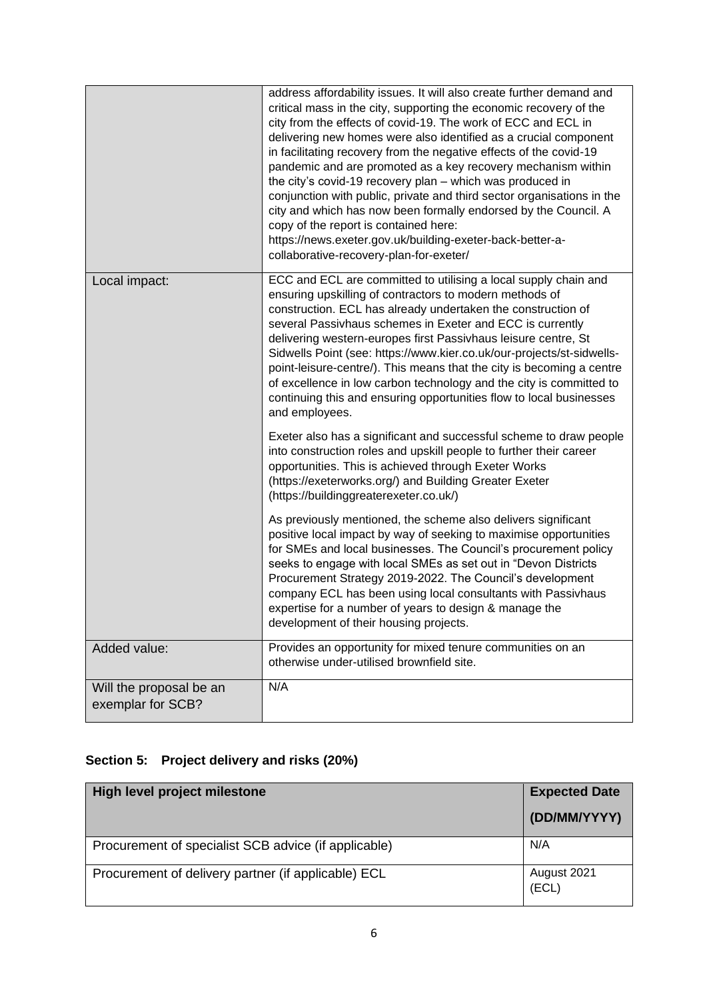|                                              | address affordability issues. It will also create further demand and<br>critical mass in the city, supporting the economic recovery of the<br>city from the effects of covid-19. The work of ECC and ECL in<br>delivering new homes were also identified as a crucial component<br>in facilitating recovery from the negative effects of the covid-19<br>pandemic and are promoted as a key recovery mechanism within<br>the city's covid-19 recovery plan - which was produced in<br>conjunction with public, private and third sector organisations in the<br>city and which has now been formally endorsed by the Council. A<br>copy of the report is contained here:<br>https://news.exeter.gov.uk/building-exeter-back-better-a-<br>collaborative-recovery-plan-for-exeter/ |
|----------------------------------------------|----------------------------------------------------------------------------------------------------------------------------------------------------------------------------------------------------------------------------------------------------------------------------------------------------------------------------------------------------------------------------------------------------------------------------------------------------------------------------------------------------------------------------------------------------------------------------------------------------------------------------------------------------------------------------------------------------------------------------------------------------------------------------------|
| Local impact:                                | ECC and ECL are committed to utilising a local supply chain and<br>ensuring upskilling of contractors to modern methods of<br>construction. ECL has already undertaken the construction of<br>several Passivhaus schemes in Exeter and ECC is currently<br>delivering western-europes first Passivhaus leisure centre, St<br>Sidwells Point (see: https://www.kier.co.uk/our-projects/st-sidwells-<br>point-leisure-centre/). This means that the city is becoming a centre<br>of excellence in low carbon technology and the city is committed to<br>continuing this and ensuring opportunities flow to local businesses<br>and employees.                                                                                                                                      |
|                                              | Exeter also has a significant and successful scheme to draw people<br>into construction roles and upskill people to further their career<br>opportunities. This is achieved through Exeter Works<br>(https://exeterworks.org/) and Building Greater Exeter<br>(https://buildinggreaterexeter.co.uk/)                                                                                                                                                                                                                                                                                                                                                                                                                                                                             |
|                                              | As previously mentioned, the scheme also delivers significant<br>positive local impact by way of seeking to maximise opportunities<br>for SMEs and local businesses. The Council's procurement policy<br>seeks to engage with local SMEs as set out in "Devon Districts<br>Procurement Strategy 2019-2022. The Council's development<br>company ECL has been using local consultants with Passivhaus<br>expertise for a number of years to design & manage the<br>development of their housing projects.                                                                                                                                                                                                                                                                         |
| Added value:                                 | Provides an opportunity for mixed tenure communities on an<br>otherwise under-utilised brownfield site.                                                                                                                                                                                                                                                                                                                                                                                                                                                                                                                                                                                                                                                                          |
| Will the proposal be an<br>exemplar for SCB? | N/A                                                                                                                                                                                                                                                                                                                                                                                                                                                                                                                                                                                                                                                                                                                                                                              |

# **Section 5: Project delivery and risks (20%)**

| High level project milestone                         | <b>Expected Date</b><br>(DD/MM/YYYY) |
|------------------------------------------------------|--------------------------------------|
| Procurement of specialist SCB advice (if applicable) | N/A                                  |
| Procurement of delivery partner (if applicable) ECL  | August 2021<br>(ECL)                 |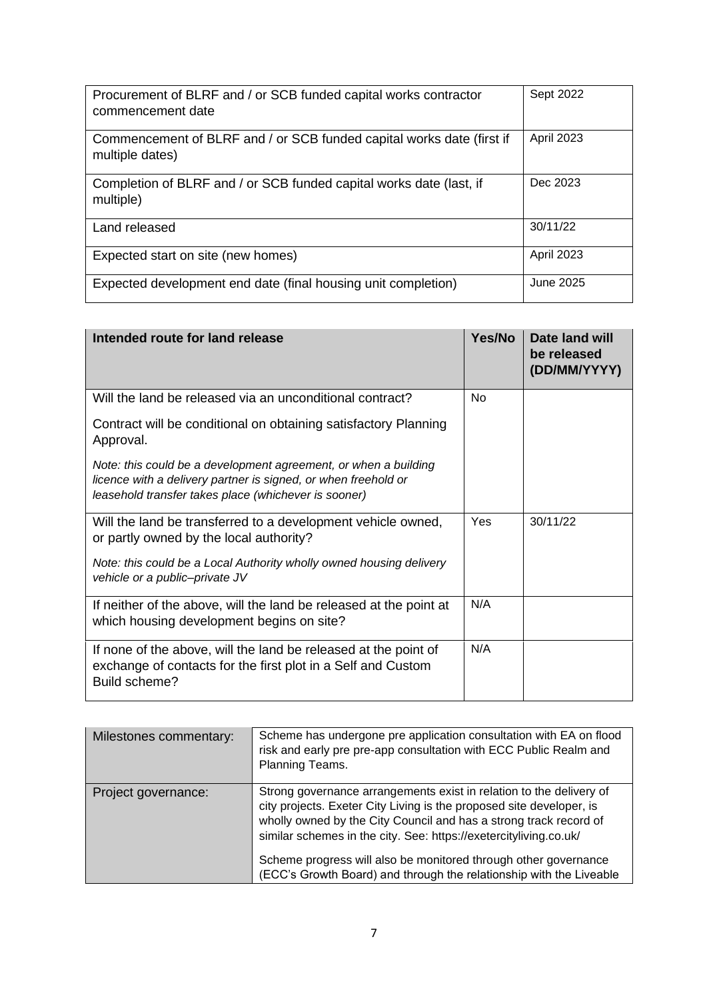| Procurement of BLRF and / or SCB funded capital works contractor<br>commencement date    | Sept 2022         |
|------------------------------------------------------------------------------------------|-------------------|
| Commencement of BLRF and / or SCB funded capital works date (first if<br>multiple dates) | <b>April 2023</b> |
| Completion of BLRF and / or SCB funded capital works date (last, if<br>multiple)         | Dec 2023          |
| Land released                                                                            | 30/11/22          |
| Expected start on site (new homes)                                                       | <b>April 2023</b> |
| Expected development end date (final housing unit completion)                            | June 2025         |

| Intended route for land release                                                                                                                                                           | Yes/No         | <b>Date land will</b><br>be released<br>(DD/MM/YYYY) |
|-------------------------------------------------------------------------------------------------------------------------------------------------------------------------------------------|----------------|------------------------------------------------------|
| Will the land be released via an unconditional contract?                                                                                                                                  | N <sub>0</sub> |                                                      |
| Contract will be conditional on obtaining satisfactory Planning<br>Approval.                                                                                                              |                |                                                      |
| Note: this could be a development agreement, or when a building<br>licence with a delivery partner is signed, or when freehold or<br>leasehold transfer takes place (whichever is sooner) |                |                                                      |
| Will the land be transferred to a development vehicle owned,<br>or partly owned by the local authority?                                                                                   | Yes            | 30/11/22                                             |
| Note: this could be a Local Authority wholly owned housing delivery<br>vehicle or a public-private JV                                                                                     |                |                                                      |
| If neither of the above, will the land be released at the point at<br>which housing development begins on site?                                                                           | N/A            |                                                      |
| If none of the above, will the land be released at the point of<br>exchange of contacts for the first plot in a Self and Custom<br>Build scheme?                                          | N/A            |                                                      |

| Milestones commentary: | Scheme has undergone pre application consultation with EA on flood<br>risk and early pre pre-app consultation with ECC Public Realm and<br>Planning Teams.                                                                                                                                                                                                                                                                      |
|------------------------|---------------------------------------------------------------------------------------------------------------------------------------------------------------------------------------------------------------------------------------------------------------------------------------------------------------------------------------------------------------------------------------------------------------------------------|
| Project governance:    | Strong governance arrangements exist in relation to the delivery of<br>city projects. Exeter City Living is the proposed site developer, is<br>wholly owned by the City Council and has a strong track record of<br>similar schemes in the city. See: https://exetercityliving.co.uk/<br>Scheme progress will also be monitored through other governance<br>(ECC's Growth Board) and through the relationship with the Liveable |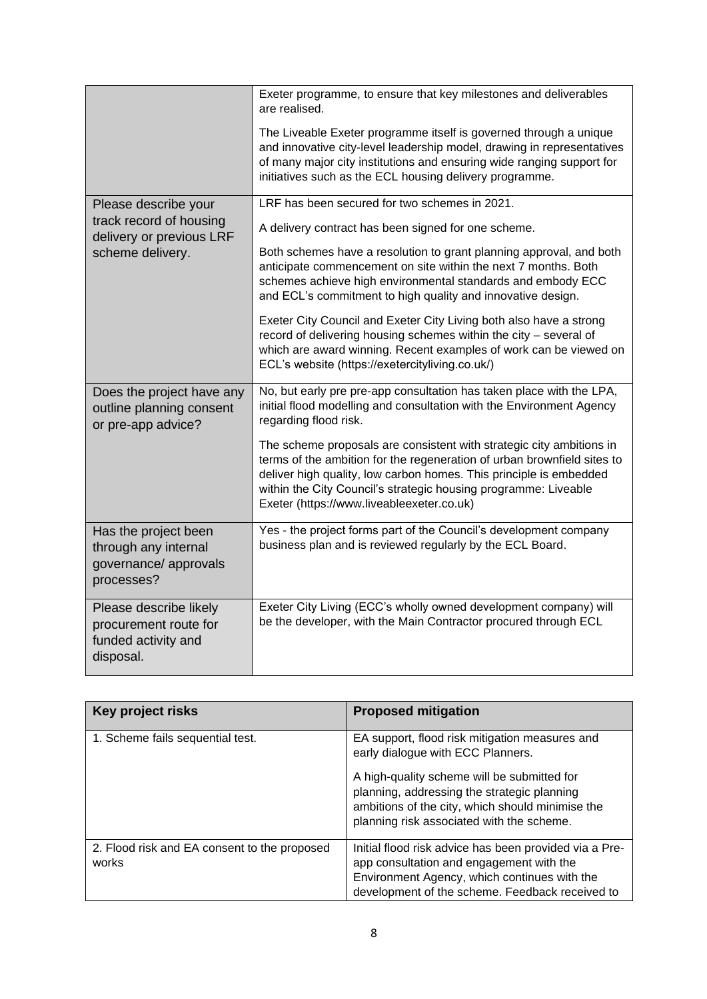|                                                                                     | Exeter programme, to ensure that key milestones and deliverables<br>are realised.                                                                                                                                                                                                                                                     |
|-------------------------------------------------------------------------------------|---------------------------------------------------------------------------------------------------------------------------------------------------------------------------------------------------------------------------------------------------------------------------------------------------------------------------------------|
|                                                                                     | The Liveable Exeter programme itself is governed through a unique<br>and innovative city-level leadership model, drawing in representatives<br>of many major city institutions and ensuring wide ranging support for<br>initiatives such as the ECL housing delivery programme.                                                       |
| Please describe your<br>track record of housing                                     | LRF has been secured for two schemes in 2021.                                                                                                                                                                                                                                                                                         |
| delivery or previous LRF<br>scheme delivery.                                        | A delivery contract has been signed for one scheme.                                                                                                                                                                                                                                                                                   |
|                                                                                     | Both schemes have a resolution to grant planning approval, and both<br>anticipate commencement on site within the next 7 months. Both<br>schemes achieve high environmental standards and embody ECC<br>and ECL's commitment to high quality and innovative design.                                                                   |
|                                                                                     | Exeter City Council and Exeter City Living both also have a strong<br>record of delivering housing schemes within the city - several of<br>which are award winning. Recent examples of work can be viewed on<br>ECL's website (https://exetercityliving.co.uk/)                                                                       |
| Does the project have any<br>outline planning consent<br>or pre-app advice?         | No, but early pre pre-app consultation has taken place with the LPA,<br>initial flood modelling and consultation with the Environment Agency<br>regarding flood risk.                                                                                                                                                                 |
|                                                                                     | The scheme proposals are consistent with strategic city ambitions in<br>terms of the ambition for the regeneration of urban brownfield sites to<br>deliver high quality, low carbon homes. This principle is embedded<br>within the City Council's strategic housing programme: Liveable<br>Exeter (https://www.liveableexeter.co.uk) |
| Has the project been<br>through any internal<br>governance/ approvals<br>processes? | Yes - the project forms part of the Council's development company<br>business plan and is reviewed regularly by the ECL Board.                                                                                                                                                                                                        |
| Please describe likely<br>procurement route for<br>funded activity and<br>disposal. | Exeter City Living (ECC's wholly owned development company) will<br>be the developer, with the Main Contractor procured through ECL                                                                                                                                                                                                   |

| Key project risks                                     | <b>Proposed mitigation</b>                                                                                                                                                                            |
|-------------------------------------------------------|-------------------------------------------------------------------------------------------------------------------------------------------------------------------------------------------------------|
| 1. Scheme fails sequential test.                      | EA support, flood risk mitigation measures and<br>early dialogue with ECC Planners.                                                                                                                   |
|                                                       | A high-quality scheme will be submitted for<br>planning, addressing the strategic planning<br>ambitions of the city, which should minimise the<br>planning risk associated with the scheme.           |
| 2. Flood risk and EA consent to the proposed<br>works | Initial flood risk advice has been provided via a Pre-<br>app consultation and engagement with the<br>Environment Agency, which continues with the<br>development of the scheme. Feedback received to |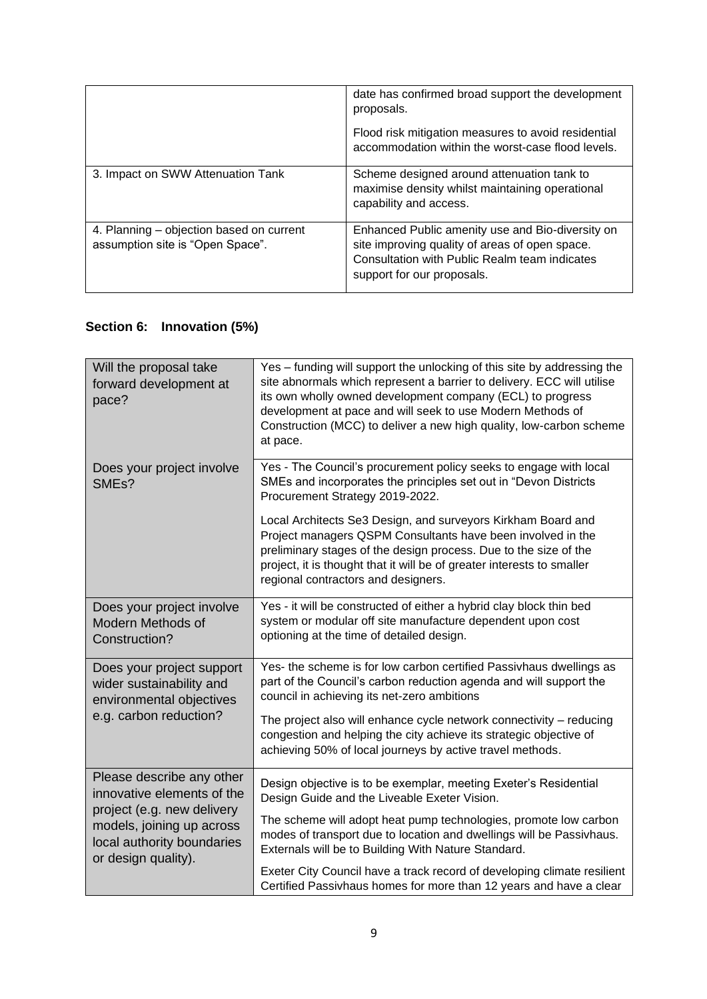|                                                                              | date has confirmed broad support the development<br>proposals.                                                                                                                    |
|------------------------------------------------------------------------------|-----------------------------------------------------------------------------------------------------------------------------------------------------------------------------------|
|                                                                              | Flood risk mitigation measures to avoid residential<br>accommodation within the worst-case flood levels.                                                                          |
| 3. Impact on SWW Attenuation Tank                                            | Scheme designed around attenuation tank to<br>maximise density whilst maintaining operational<br>capability and access.                                                           |
| 4. Planning – objection based on current<br>assumption site is "Open Space". | Enhanced Public amenity use and Bio-diversity on<br>site improving quality of areas of open space.<br>Consultation with Public Realm team indicates<br>support for our proposals. |

# **Section 6: Innovation (5%)**

| Will the proposal take<br>forward development at<br>pace?                                                                                                               | Yes - funding will support the unlocking of this site by addressing the<br>site abnormals which represent a barrier to delivery. ECC will utilise<br>its own wholly owned development company (ECL) to progress<br>development at pace and will seek to use Modern Methods of<br>Construction (MCC) to deliver a new high quality, low-carbon scheme<br>at pace.                                                                                                                             |
|-------------------------------------------------------------------------------------------------------------------------------------------------------------------------|----------------------------------------------------------------------------------------------------------------------------------------------------------------------------------------------------------------------------------------------------------------------------------------------------------------------------------------------------------------------------------------------------------------------------------------------------------------------------------------------|
| Does your project involve<br>SME <sub>s</sub> ?                                                                                                                         | Yes - The Council's procurement policy seeks to engage with local<br>SMEs and incorporates the principles set out in "Devon Districts<br>Procurement Strategy 2019-2022.<br>Local Architects Se3 Design, and surveyors Kirkham Board and<br>Project managers QSPM Consultants have been involved in the<br>preliminary stages of the design process. Due to the size of the<br>project, it is thought that it will be of greater interests to smaller<br>regional contractors and designers. |
| Does your project involve<br>Modern Methods of<br>Construction?                                                                                                         | Yes - it will be constructed of either a hybrid clay block thin bed<br>system or modular off site manufacture dependent upon cost<br>optioning at the time of detailed design.                                                                                                                                                                                                                                                                                                               |
| Does your project support<br>wider sustainability and<br>environmental objectives<br>e.g. carbon reduction?                                                             | Yes- the scheme is for low carbon certified Passivhaus dwellings as<br>part of the Council's carbon reduction agenda and will support the<br>council in achieving its net-zero ambitions<br>The project also will enhance cycle network connectivity - reducing<br>congestion and helping the city achieve its strategic objective of<br>achieving 50% of local journeys by active travel methods.                                                                                           |
| Please describe any other<br>innovative elements of the<br>project (e.g. new delivery<br>models, joining up across<br>local authority boundaries<br>or design quality). | Design objective is to be exemplar, meeting Exeter's Residential<br>Design Guide and the Liveable Exeter Vision.<br>The scheme will adopt heat pump technologies, promote low carbon<br>modes of transport due to location and dwellings will be Passivhaus.<br>Externals will be to Building With Nature Standard.<br>Exeter City Council have a track record of developing climate resilient<br>Certified Passivhaus homes for more than 12 years and have a clear                         |